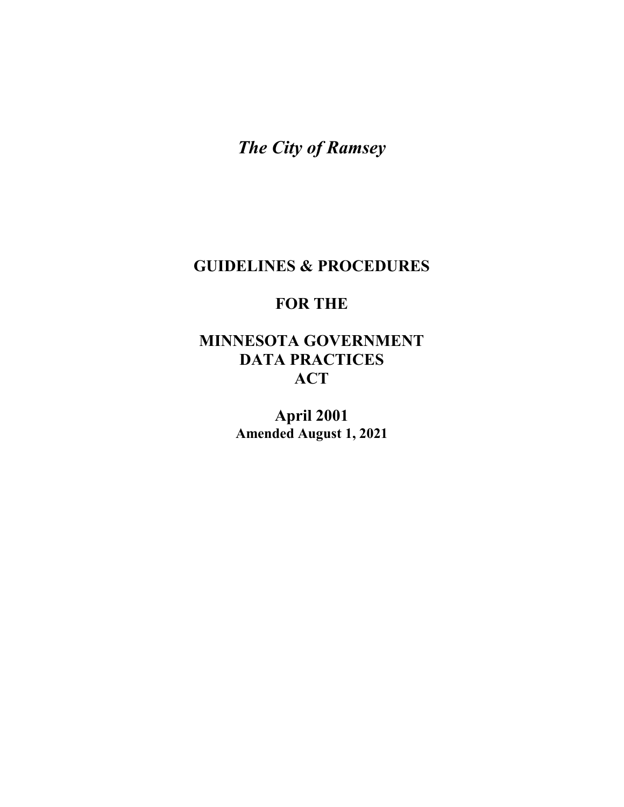*The City of Ramsey*

# **GUIDELINES & PROCEDURES**

# **FOR THE**

# **MINNESOTA GOVERNMENT DATA PRACTICES ACT**

**April 2001 Amended August 1, 2021**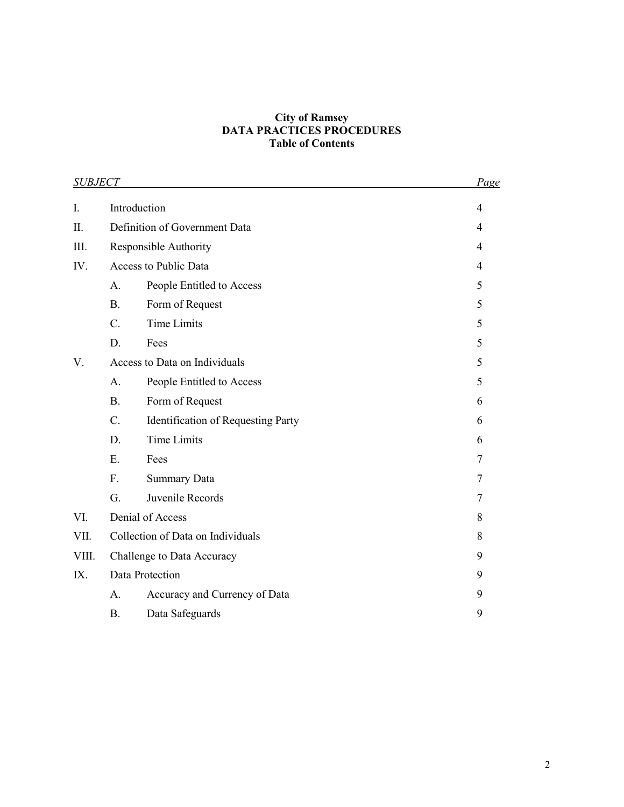#### **City of Ramsey DATA PRACTICES PROCEDURES Table of Contents**

|       | <b>SUBJECT</b>                    |                                           | Page |
|-------|-----------------------------------|-------------------------------------------|------|
| I.    | Introduction                      |                                           | 4    |
| Π.    |                                   | Definition of Government Data             | 4    |
| III.  |                                   | Responsible Authority                     | 4    |
| IV.   |                                   | Access to Public Data                     | 4    |
|       | A.                                | People Entitled to Access                 | 5    |
|       | <b>B.</b>                         | Form of Request                           | 5    |
|       | $C_{\cdot}$                       | <b>Time Limits</b>                        | 5    |
|       | D.                                | Fees                                      | 5    |
| V.    | Access to Data on Individuals     |                                           | 5    |
|       | A.                                | People Entitled to Access                 | 5    |
|       | <b>B.</b>                         | Form of Request                           | 6    |
|       | $\mathcal{C}$ .                   | <b>Identification of Requesting Party</b> | 6    |
|       | D.                                | <b>Time Limits</b>                        | 6    |
|       | E.                                | Fees                                      | 7    |
|       | F.                                | <b>Summary Data</b>                       | 7    |
|       | G.                                | Juvenile Records                          | 7    |
| VI.   |                                   | Denial of Access                          | 8    |
| VII.  | Collection of Data on Individuals |                                           | 8    |
| VIII. | Challenge to Data Accuracy        |                                           | 9    |
| IX.   | Data Protection                   |                                           | 9    |
|       | A.                                | Accuracy and Currency of Data             | 9    |
|       | <b>B.</b>                         | Data Safeguards                           | 9    |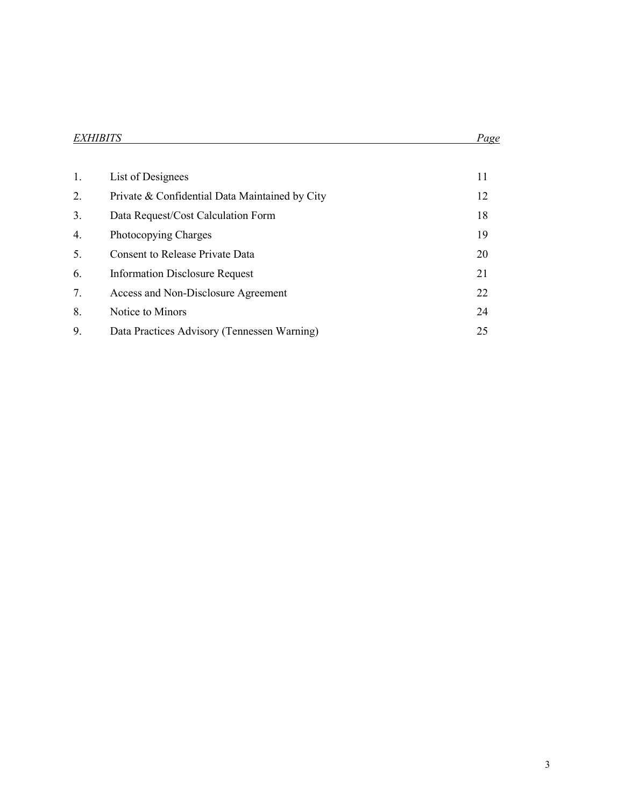| <b>EXHIBITS</b> |  |
|-----------------|--|
|                 |  |

| 1. | List of Designees                              | 11 |
|----|------------------------------------------------|----|
| 2. | Private & Confidential Data Maintained by City | 12 |
| 3. | Data Request/Cost Calculation Form             | 18 |
| 4. | Photocopying Charges                           | 19 |
| 5. | <b>Consent to Release Private Data</b>         | 20 |
| 6. | <b>Information Disclosure Request</b>          | 21 |
| 7. | Access and Non-Disclosure Agreement            | 22 |
| 8. | Notice to Minors                               | 24 |
| 9. | Data Practices Advisory (Tennessen Warning)    | 25 |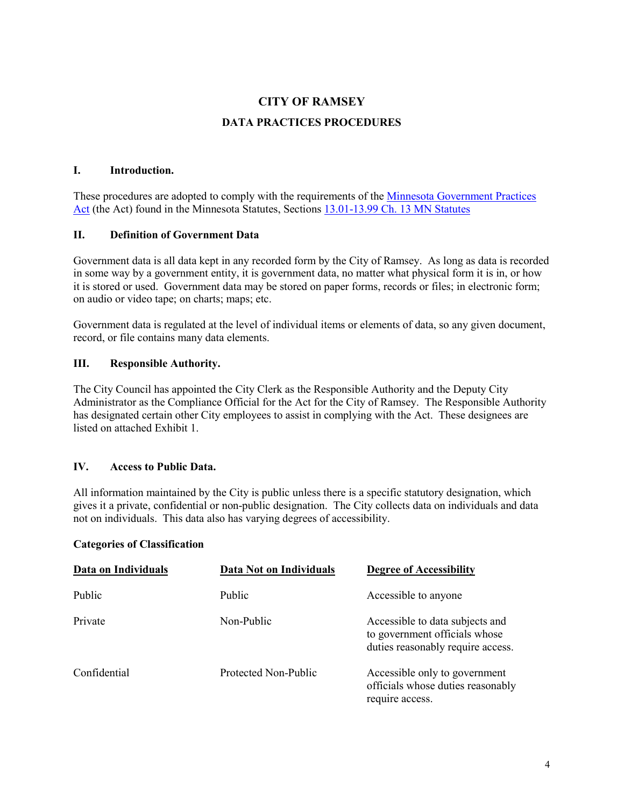# **CITY OF RAMSEY**

#### **DATA PRACTICES PROCEDURES**

#### **I. Introduction.**

These procedures are adopted to comply with the requirements of the [Minnesota Government Practices](https://www.house.leg.state.mn.us/hrd/pubs/dataprac.pdf)  [Act](https://www.house.leg.state.mn.us/hrd/pubs/dataprac.pdf) (the Act) found in the Minnesota Statutes, Sections [13.01-13.99 Ch. 13 MN Statutes](https://www.revisor.mn.gov/statutes/cite/13)

#### **II. Definition of Government Data**

Government data is all data kept in any recorded form by the City of Ramsey. As long as data is recorded in some way by a government entity, it is government data, no matter what physical form it is in, or how it is stored or used. Government data may be stored on paper forms, records or files; in electronic form; on audio or video tape; on charts; maps; etc.

Government data is regulated at the level of individual items or elements of data, so any given document, record, or file contains many data elements.

#### **III. Responsible Authority.**

The City Council has appointed the City Clerk as the Responsible Authority and the Deputy City Administrator as the Compliance Official for the Act for the City of Ramsey. The Responsible Authority has designated certain other City employees to assist in complying with the Act. These designees are listed on attached Exhibit 1.

#### **IV. Access to Public Data.**

All information maintained by the City is public unless there is a specific statutory designation, which gives it a private, confidential or non-public designation. The City collects data on individuals and data not on individuals. This data also has varying degrees of accessibility.

#### **Categories of Classification**

| Data on Individuals | Data Not on Individuals | <b>Degree of Accessibility</b>                                                                        |
|---------------------|-------------------------|-------------------------------------------------------------------------------------------------------|
| Public              | Public                  | Accessible to anyone                                                                                  |
| Private             | Non-Public              | Accessible to data subjects and<br>to government officials whose<br>duties reasonably require access. |
| Confidential        | Protected Non-Public    | Accessible only to government<br>officials whose duties reasonably<br>require access.                 |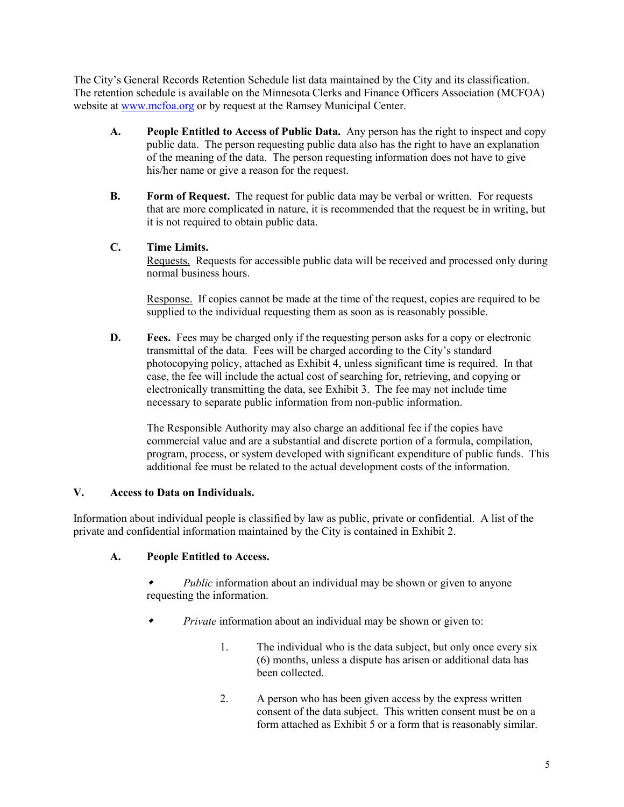The City's General Records Retention Schedule list data maintained by the City and its classification. The retention schedule is available on the Minnesota Clerks and Finance Officers Association (MCFOA) website at [www.mcfoa.org](http://www.mcfoa.org/) or by request at the Ramsey Municipal Center.

- **A. People Entitled to Access of Public Data.** Any person has the right to inspect and copy public data. The person requesting public data also has the right to have an explanation of the meaning of the data. The person requesting information does not have to give his/her name or give a reason for the request.
- **B. Form of Request.** The request for public data may be verbal or written. For requests that are more complicated in nature, it is recommended that the request be in writing, but it is not required to obtain public data.

#### **C. Time Limits.**

Requests. Requests for accessible public data will be received and processed only during normal business hours.

Response. If copies cannot be made at the time of the request, copies are required to be supplied to the individual requesting them as soon as is reasonably possible.

**D. Fees.** Fees may be charged only if the requesting person asks for a copy or electronic transmittal of the data. Fees will be charged according to the City's standard photocopying policy, attached as Exhibit 4, unless significant time is required. In that case, the fee will include the actual cost of searching for, retrieving, and copying or electronically transmitting the data, see Exhibit 3. The fee may not include time necessary to separate public information from non-public information.

The Responsible Authority may also charge an additional fee if the copies have commercial value and are a substantial and discrete portion of a formula, compilation, program, process, or system developed with significant expenditure of public funds. This additional fee must be related to the actual development costs of the information.

#### **V. Access to Data on Individuals.**

Information about individual people is classified by law as public, private or confidential. A list of the private and confidential information maintained by the City is contained in Exhibit 2.

#### **A. People Entitled to Access.**

۰ *Public* information about an individual may be shown or given to anyone requesting the information.

- ۰ *Private* information about an individual may be shown or given to:
	- 1. The individual who is the data subject, but only once every six (6) months, unless a dispute has arisen or additional data has been collected.
	- 2. A person who has been given access by the express written consent of the data subject. This written consent must be on a form attached as Exhibit 5 or a form that is reasonably similar.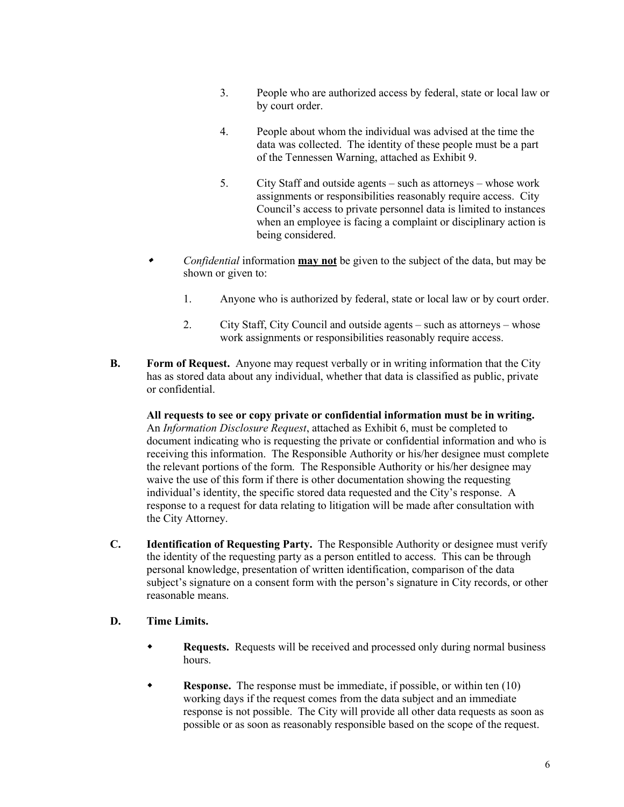- 3. People who are authorized access by federal, state or local law or by court order.
- 4. People about whom the individual was advised at the time the data was collected. The identity of these people must be a part of the Tennessen Warning, attached as Exhibit 9.
- 5. City Staff and outside agents such as attorneys whose work assignments or responsibilities reasonably require access. City Council's access to private personnel data is limited to instances when an employee is facing a complaint or disciplinary action is being considered.
- ۰ *Confidential* information **may not** be given to the subject of the data, but may be shown or given to:
	- 1. Anyone who is authorized by federal, state or local law or by court order.
	- 2. City Staff, City Council and outside agents such as attorneys whose work assignments or responsibilities reasonably require access.
- **B. Form of Request.** Anyone may request verbally or in writing information that the City has as stored data about any individual, whether that data is classified as public, private or confidential.

**All requests to see or copy private or confidential information must be in writing.** An *Information Disclosure Request*, attached as Exhibit 6, must be completed to document indicating who is requesting the private or confidential information and who is receiving this information. The Responsible Authority or his/her designee must complete the relevant portions of the form. The Responsible Authority or his/her designee may waive the use of this form if there is other documentation showing the requesting individual's identity, the specific stored data requested and the City's response. A response to a request for data relating to litigation will be made after consultation with the City Attorney.

**C. Identification of Requesting Party.** The Responsible Authority or designee must verify the identity of the requesting party as a person entitled to access. This can be through personal knowledge, presentation of written identification, comparison of the data subject's signature on a consent form with the person's signature in City records, or other reasonable means.

#### **D. Time Limits.**

- **Requests.** Requests will be received and processed only during normal business hours.
- **Response.** The response must be immediate, if possible, or within ten (10) working days if the request comes from the data subject and an immediate response is not possible. The City will provide all other data requests as soon as possible or as soon as reasonably responsible based on the scope of the request.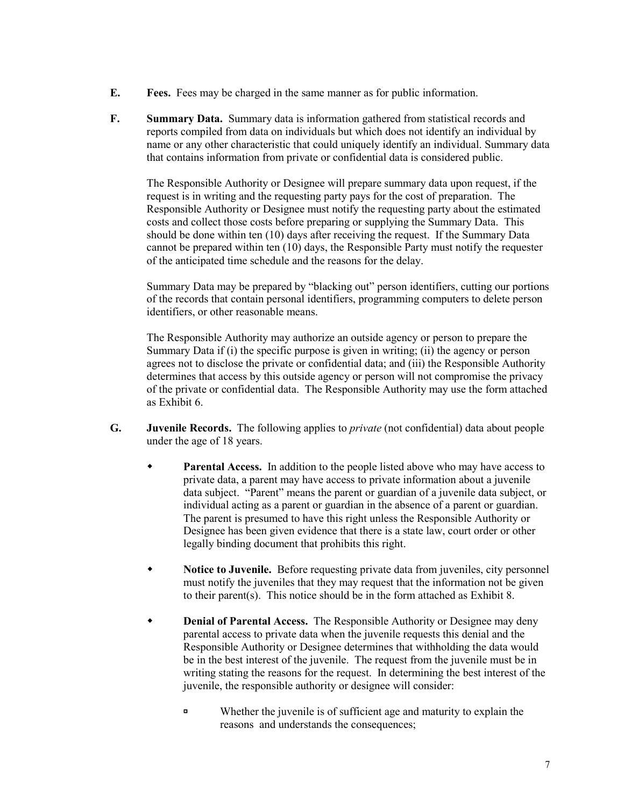- **E. Fees.** Fees may be charged in the same manner as for public information.
- **F. Summary Data.** Summary data is information gathered from statistical records and reports compiled from data on individuals but which does not identify an individual by name or any other characteristic that could uniquely identify an individual. Summary data that contains information from private or confidential data is considered public.

The Responsible Authority or Designee will prepare summary data upon request, if the request is in writing and the requesting party pays for the cost of preparation. The Responsible Authority or Designee must notify the requesting party about the estimated costs and collect those costs before preparing or supplying the Summary Data. This should be done within ten (10) days after receiving the request. If the Summary Data cannot be prepared within ten (10) days, the Responsible Party must notify the requester of the anticipated time schedule and the reasons for the delay.

Summary Data may be prepared by "blacking out" person identifiers, cutting our portions of the records that contain personal identifiers, programming computers to delete person identifiers, or other reasonable means.

The Responsible Authority may authorize an outside agency or person to prepare the Summary Data if (i) the specific purpose is given in writing; (ii) the agency or person agrees not to disclose the private or confidential data; and (iii) the Responsible Authority determines that access by this outside agency or person will not compromise the privacy of the private or confidential data. The Responsible Authority may use the form attached as Exhibit 6.

- **G. Juvenile Records.** The following applies to *private* (not confidential) data about people under the age of 18 years.
	- **Parental Access.** In addition to the people listed above who may have access to private data, a parent may have access to private information about a juvenile data subject. "Parent" means the parent or guardian of a juvenile data subject, or individual acting as a parent or guardian in the absence of a parent or guardian. The parent is presumed to have this right unless the Responsible Authority or Designee has been given evidence that there is a state law, court order or other legally binding document that prohibits this right.
	- **Notice to Juvenile.** Before requesting private data from juveniles, city personnel must notify the juveniles that they may request that the information not be given to their parent(s). This notice should be in the form attached as Exhibit 8.
	- **Denial of Parental Access.** The Responsible Authority or Designee may deny parental access to private data when the juvenile requests this denial and the Responsible Authority or Designee determines that withholding the data would be in the best interest of the juvenile. The request from the juvenile must be in writing stating the reasons for the request. In determining the best interest of the juvenile, the responsible authority or designee will consider:
		- Whether the juvenile is of sufficient age and maturity to explain the reasons and understands the consequences;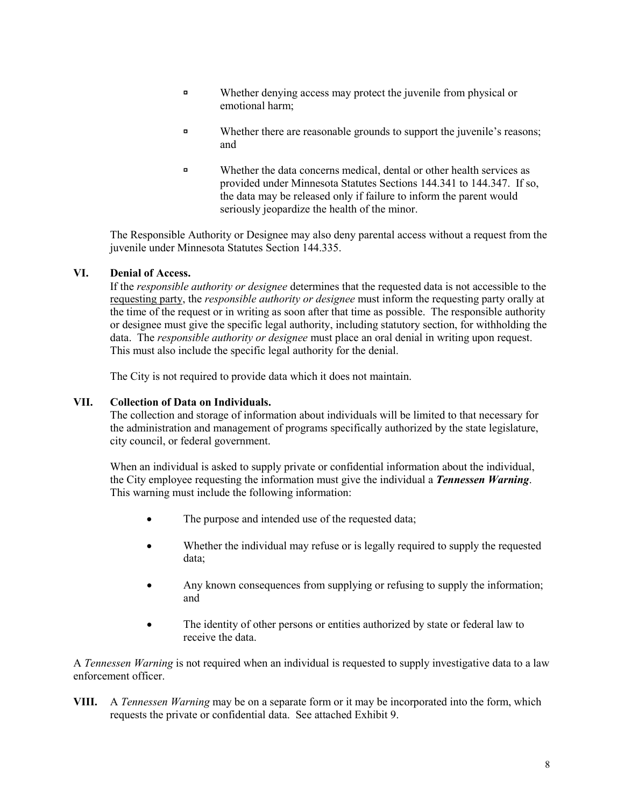- Whether denying access may protect the juvenile from physical or emotional harm;
- **EXECUTE:** Whether there are reasonable grounds to support the juvenile's reasons; and
- Whether the data concerns medical, dental or other health services as provided under Minnesota Statutes Sections 144.341 to 144.347. If so, the data may be released only if failure to inform the parent would seriously jeopardize the health of the minor.

The Responsible Authority or Designee may also deny parental access without a request from the juvenile under Minnesota Statutes Section 144.335.

#### **VI. Denial of Access.**

If the *responsible authority or designee* determines that the requested data is not accessible to the requesting party, the *responsible authority or designee* must inform the requesting party orally at the time of the request or in writing as soon after that time as possible. The responsible authority or designee must give the specific legal authority, including statutory section, for withholding the data. The *responsible authority or designee* must place an oral denial in writing upon request. This must also include the specific legal authority for the denial.

The City is not required to provide data which it does not maintain.

#### **VII. Collection of Data on Individuals.**

The collection and storage of information about individuals will be limited to that necessary for the administration and management of programs specifically authorized by the state legislature, city council, or federal government.

When an individual is asked to supply private or confidential information about the individual, the City employee requesting the information must give the individual a *Tennessen Warning*. This warning must include the following information:

- The purpose and intended use of the requested data;
- Whether the individual may refuse or is legally required to supply the requested data;
- Any known consequences from supplying or refusing to supply the information; and
- The identity of other persons or entities authorized by state or federal law to receive the data.

A *Tennessen Warning* is not required when an individual is requested to supply investigative data to a law enforcement officer.

**VIII.** A *Tennessen Warning* may be on a separate form or it may be incorporated into the form, which requests the private or confidential data. See attached Exhibit 9.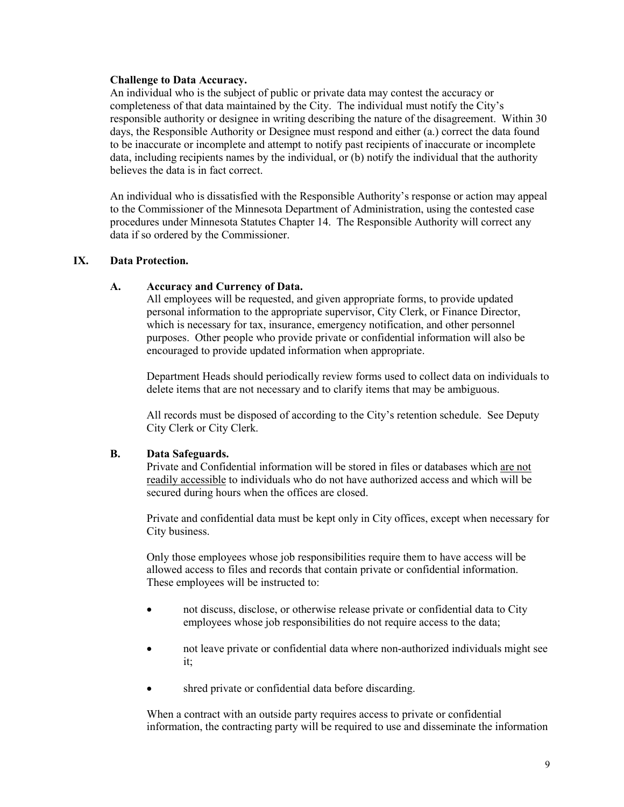#### **Challenge to Data Accuracy.**

An individual who is the subject of public or private data may contest the accuracy or completeness of that data maintained by the City. The individual must notify the City's responsible authority or designee in writing describing the nature of the disagreement. Within 30 days, the Responsible Authority or Designee must respond and either (a.) correct the data found to be inaccurate or incomplete and attempt to notify past recipients of inaccurate or incomplete data, including recipients names by the individual, or (b) notify the individual that the authority believes the data is in fact correct.

An individual who is dissatisfied with the Responsible Authority's response or action may appeal to the Commissioner of the Minnesota Department of Administration, using the contested case procedures under Minnesota Statutes Chapter 14. The Responsible Authority will correct any data if so ordered by the Commissioner.

#### **IX. Data Protection.**

#### **A. Accuracy and Currency of Data.**

All employees will be requested, and given appropriate forms, to provide updated personal information to the appropriate supervisor, City Clerk, or Finance Director, which is necessary for tax, insurance, emergency notification, and other personnel purposes. Other people who provide private or confidential information will also be encouraged to provide updated information when appropriate.

Department Heads should periodically review forms used to collect data on individuals to delete items that are not necessary and to clarify items that may be ambiguous.

All records must be disposed of according to the City's retention schedule. See Deputy City Clerk or City Clerk.

#### **B. Data Safeguards.**

Private and Confidential information will be stored in files or databases which are not readily accessible to individuals who do not have authorized access and which will be secured during hours when the offices are closed.

Private and confidential data must be kept only in City offices, except when necessary for City business.

Only those employees whose job responsibilities require them to have access will be allowed access to files and records that contain private or confidential information. These employees will be instructed to:

- not discuss, disclose, or otherwise release private or confidential data to City employees whose job responsibilities do not require access to the data;
- not leave private or confidential data where non-authorized individuals might see it;
- shred private or confidential data before discarding.

When a contract with an outside party requires access to private or confidential information, the contracting party will be required to use and disseminate the information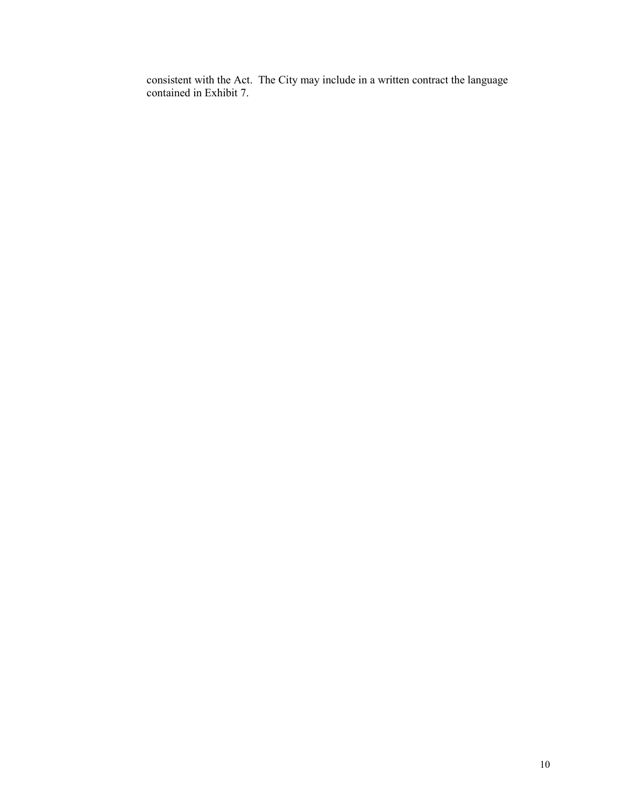consistent with the Act. The City may include in a written contract the language contained in Exhibit 7.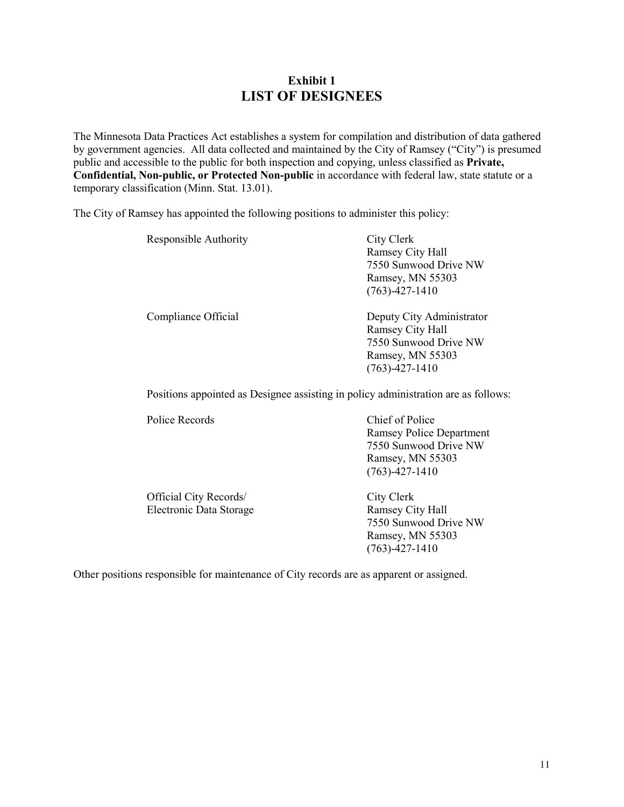## **Exhibit 1 LIST OF DESIGNEES**

The Minnesota Data Practices Act establishes a system for compilation and distribution of data gathered by government agencies. All data collected and maintained by the City of Ramsey ("City") is presumed public and accessible to the public for both inspection and copying, unless classified as **Private, Confidential, Non-public, or Protected Non-public** in accordance with federal law, state statute or a temporary classification (Minn. Stat. 13.01).

The City of Ramsey has appointed the following positions to administer this policy:

| Responsible Authority | City Clerk                |
|-----------------------|---------------------------|
|                       | Ramsey City Hall          |
|                       | 7550 Sunwood Drive NW     |
|                       | Ramsey, MN 55303          |
|                       | $(763) - 427 - 1410$      |
| Compliance Official   | Deputy City Administrator |
|                       | Ramsey City Hall          |
|                       | 7550 Sunwood Drive NW     |
|                       | Ramsey, MN 55303          |
|                       | $(763) - 427 - 1410$      |
|                       |                           |

Positions appointed as Designee assisting in policy administration are as follows:

Police Records Chief of Police

Ramsey Police Department 7550 Sunwood Drive NW Ramsey, MN 55303 (763)-427-1410

| City Clerk<br>Ramsey City Hall<br>7550 Sunwood Drive NW |
|---------------------------------------------------------|
| Ramsey, MN 55303<br>$(763) - 427 - 1410$                |
|                                                         |

Other positions responsible for maintenance of City records are as apparent or assigned.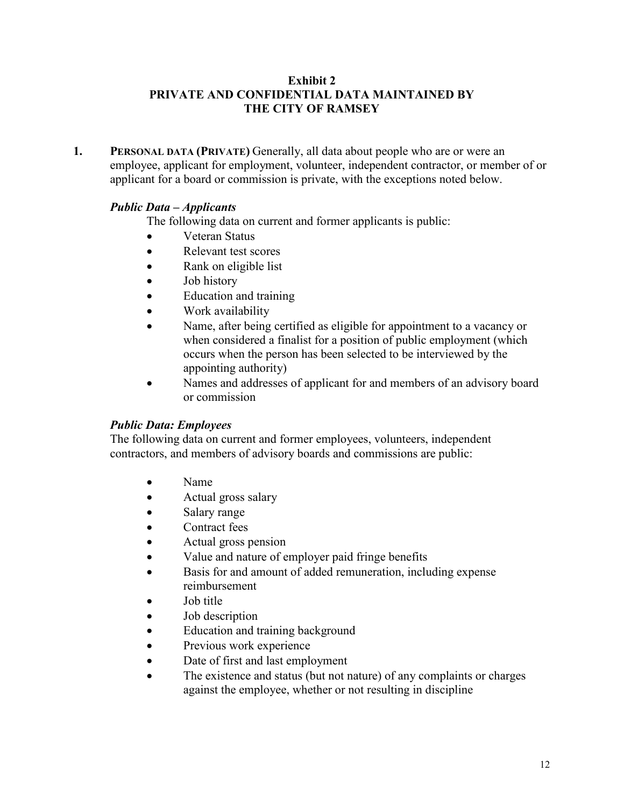## **Exhibit 2 PRIVATE AND CONFIDENTIAL DATA MAINTAINED BY THE CITY OF RAMSEY**

**1. PERSONAL DATA (PRIVATE)** Generally, all data about people who are or were an employee, applicant for employment, volunteer, independent contractor, or member of or applicant for a board or commission is private, with the exceptions noted below.

## *Public Data – Applicants*

The following data on current and former applicants is public:

- Veteran Status
- Relevant test scores
- Rank on eligible list
- Job history
- Education and training
- Work availability
- Name, after being certified as eligible for appointment to a vacancy or when considered a finalist for a position of public employment (which occurs when the person has been selected to be interviewed by the appointing authority)
- Names and addresses of applicant for and members of an advisory board or commission

## *Public Data: Employees*

The following data on current and former employees, volunteers, independent contractors, and members of advisory boards and commissions are public:

- Name
- Actual gross salary
- Salary range
- Contract fees
- Actual gross pension
- Value and nature of employer paid fringe benefits
- Basis for and amount of added remuneration, including expense reimbursement
- Job title
- Job description
- Education and training background
- Previous work experience
- Date of first and last employment
- The existence and status (but not nature) of any complaints or charges against the employee, whether or not resulting in discipline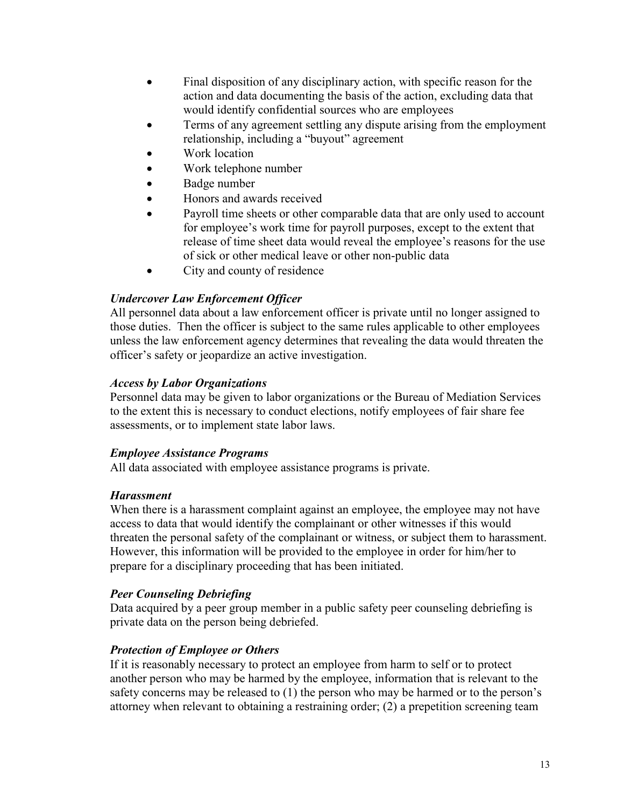- Final disposition of any disciplinary action, with specific reason for the action and data documenting the basis of the action, excluding data that would identify confidential sources who are employees
- Terms of any agreement settling any dispute arising from the employment relationship, including a "buyout" agreement
- Work location
- Work telephone number
- Badge number
- Honors and awards received
- Payroll time sheets or other comparable data that are only used to account for employee's work time for payroll purposes, except to the extent that release of time sheet data would reveal the employee's reasons for the use of sick or other medical leave or other non-public data
- City and county of residence

## *Undercover Law Enforcement Officer*

All personnel data about a law enforcement officer is private until no longer assigned to those duties. Then the officer is subject to the same rules applicable to other employees unless the law enforcement agency determines that revealing the data would threaten the officer's safety or jeopardize an active investigation.

## *Access by Labor Organizations*

Personnel data may be given to labor organizations or the Bureau of Mediation Services to the extent this is necessary to conduct elections, notify employees of fair share fee assessments, or to implement state labor laws.

## *Employee Assistance Programs*

All data associated with employee assistance programs is private.

## *Harassment*

When there is a harassment complaint against an employee, the employee may not have access to data that would identify the complainant or other witnesses if this would threaten the personal safety of the complainant or witness, or subject them to harassment. However, this information will be provided to the employee in order for him/her to prepare for a disciplinary proceeding that has been initiated.

## *Peer Counseling Debriefing*

Data acquired by a peer group member in a public safety peer counseling debriefing is private data on the person being debriefed.

## *Protection of Employee or Others*

If it is reasonably necessary to protect an employee from harm to self or to protect another person who may be harmed by the employee, information that is relevant to the safety concerns may be released to (1) the person who may be harmed or to the person's attorney when relevant to obtaining a restraining order; (2) a prepetition screening team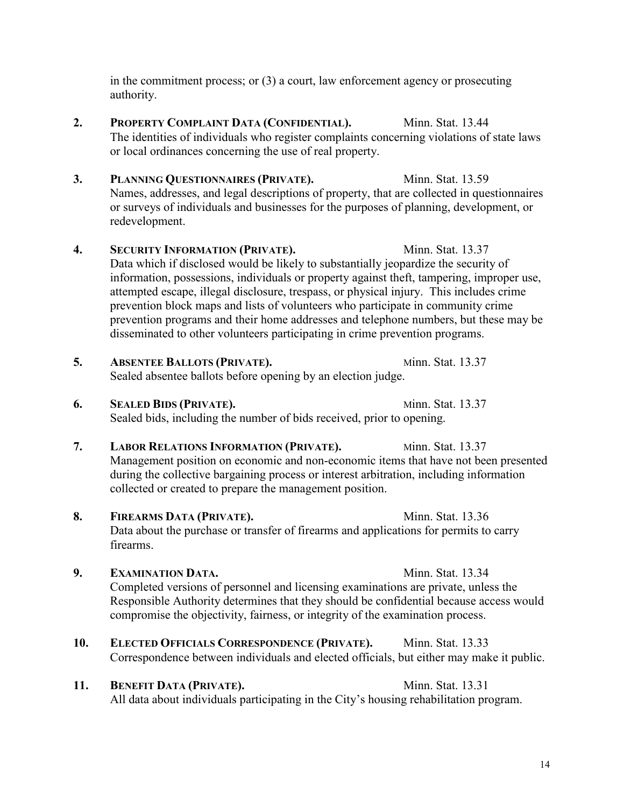in the commitment process; or (3) a court, law enforcement agency or prosecuting authority.

- **2. PROPERTY COMPLAINT DATA (CONFIDENTIAL).** Minn. Stat. 13.44 The identities of individuals who register complaints concerning violations of state laws or local ordinances concerning the use of real property.
- **3. PLANNING QUESTIONNAIRES (PRIVATE).** Minn. Stat. 13.59 Names, addresses, and legal descriptions of property, that are collected in questionnaires or surveys of individuals and businesses for the purposes of planning, development, or redevelopment.
- **4. SECURITY INFORMATION (PRIVATE).** Minn. Stat. 13.37 Data which if disclosed would be likely to substantially jeopardize the security of information, possessions, individuals or property against theft, tampering, improper use, attempted escape, illegal disclosure, trespass, or physical injury. This includes crime prevention block maps and lists of volunteers who participate in community crime prevention programs and their home addresses and telephone numbers, but these may be disseminated to other volunteers participating in crime prevention programs.
- **5. ABSENTEE BALLOTS (PRIVATE).** Minn. Stat. 13.37 Sealed absentee ballots before opening by an election judge.
- **6. SEALED BIDS (PRIVATE).** Minn. Stat. 13.37 Sealed bids, including the number of bids received, prior to opening.
- **7. LABOR RELATIONS INFORMATION (PRIVATE).** Minn. Stat. 13.37 Management position on economic and non-economic items that have not been presented during the collective bargaining process or interest arbitration, including information collected or created to prepare the management position.
- 8. **FIREARMS DATA (PRIVATE).** Minn. Stat. 13.36 Data about the purchase or transfer of firearms and applications for permits to carry firearms.
- **9. <b>EXAMINATION DATA.** Minn. Stat. 13.34 Completed versions of personnel and licensing examinations are private, unless the Responsible Authority determines that they should be confidential because access would compromise the objectivity, fairness, or integrity of the examination process.
- **10. ELECTED OFFICIALS CORRESPONDENCE (PRIVATE).** Minn. Stat. 13.33 Correspondence between individuals and elected officials, but either may make it public.
- 11. **BENEFIT DATA (PRIVATE).** Minn. Stat. 13.31 All data about individuals participating in the City's housing rehabilitation program.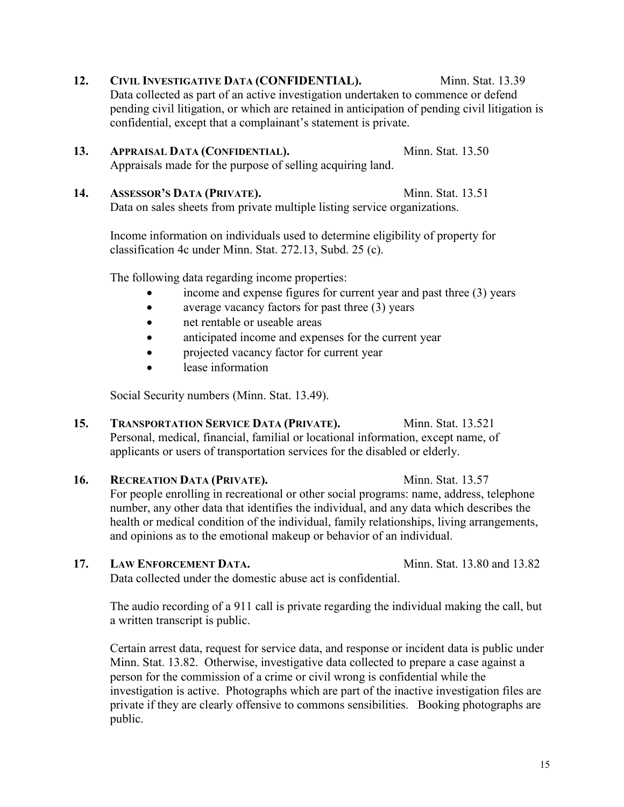- **12. CIVIL INVESTIGATIVE DATA (CONFIDENTIAL).** Minn. Stat. 13.39 Data collected as part of an active investigation undertaken to commence or defend pending civil litigation, or which are retained in anticipation of pending civil litigation is confidential, except that a complainant's statement is private.
- 13. **APPRAISAL DATA (CONFIDENTIAL).** Minn. Stat. 13.50 Appraisals made for the purpose of selling acquiring land.
- **14. ASSESSOR'S DATA (PRIVATE).** Minn. Stat. 13.51 Data on sales sheets from private multiple listing service organizations.

Income information on individuals used to determine eligibility of property for classification 4c under Minn. Stat. 272.13, Subd. 25 (c).

The following data regarding income properties:

- income and expense figures for current year and past three (3) years
- average vacancy factors for past three (3) years
- net rentable or useable areas
- anticipated income and expenses for the current year
- projected vacancy factor for current year
- lease information

Social Security numbers (Minn. Stat. 13.49).

**15. TRANSPORTATION SERVICE DATA (PRIVATE).** Minn. Stat. 13.521 Personal, medical, financial, familial or locational information, except name, of applicants or users of transportation services for the disabled or elderly.

**16. RECREATION DATA (PRIVATE).** Minn. Stat. 13.57 For people enrolling in recreational or other social programs: name, address, telephone number, any other data that identifies the individual, and any data which describes the health or medical condition of the individual, family relationships, living arrangements, and opinions as to the emotional makeup or behavior of an individual.

**17.** LAW ENFORCEMENT DATA. Minn. Stat. 13.80 and 13.82

Data collected under the domestic abuse act is confidential.

The audio recording of a 911 call is private regarding the individual making the call, but a written transcript is public.

Certain arrest data, request for service data, and response or incident data is public under Minn. Stat. 13.82. Otherwise, investigative data collected to prepare a case against a person for the commission of a crime or civil wrong is confidential while the investigation is active. Photographs which are part of the inactive investigation files are private if they are clearly offensive to commons sensibilities. Booking photographs are public.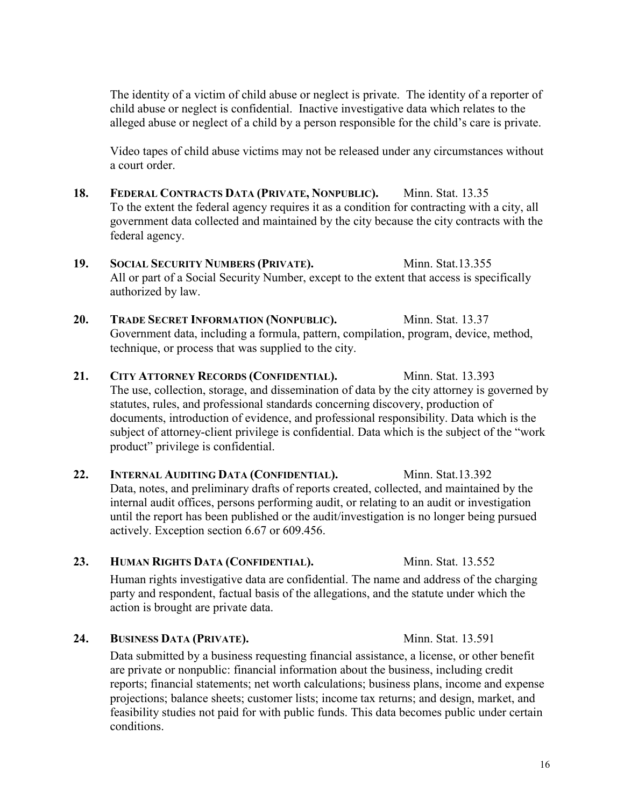The identity of a victim of child abuse or neglect is private. The identity of a reporter of child abuse or neglect is confidential. Inactive investigative data which relates to the alleged abuse or neglect of a child by a person responsible for the child's care is private.

Video tapes of child abuse victims may not be released under any circumstances without a court order.

- **18. FEDERAL CONTRACTS DATA (PRIVATE, NONPUBLIC).** Minn. Stat. 13.35 To the extent the federal agency requires it as a condition for contracting with a city, all government data collected and maintained by the city because the city contracts with the federal agency.
- 19. **SOCIAL SECURITY NUMBERS (PRIVATE).** Minn. Stat.13.355 All or part of a Social Security Number, except to the extent that access is specifically authorized by law.
- 20. TRADE SECRET INFORMATION (NONPUBLIC). Minn. Stat. 13.37 Government data, including a formula, pattern, compilation, program, device, method, technique, or process that was supplied to the city.
- **21. CITY ATTORNEY RECORDS (CONFIDENTIAL).** Minn. Stat. 13.393 The use, collection, storage, and dissemination of data by the city attorney is governed by statutes, rules, and professional standards concerning discovery, production of documents, introduction of evidence, and professional responsibility. Data which is the subject of attorney-client privilege is confidential. Data which is the subject of the "work product" privilege is confidential.
- 22. **INTERNAL AUDITING DATA (CONFIDENTIAL).** Minn. Stat.13.392 Data, notes, and preliminary drafts of reports created, collected, and maintained by the internal audit offices, persons performing audit, or relating to an audit or investigation until the report has been published or the audit/investigation is no longer being pursued actively. Exception section 6.67 or 609.456.

# 23. **HUMAN RIGHTS DATA (CONFIDENTIAL).** Minn. Stat. 13.552

Human rights investigative data are confidential. The name and address of the charging party and respondent, factual basis of the allegations, and the statute under which the action is brought are private data.

## **24. BUSINESS DATA (PRIVATE).** Minn. Stat. 13.591

Data submitted by a business requesting financial assistance, a license, or other benefit are private or nonpublic: financial information about the business, including credit reports; financial statements; net worth calculations; business plans, income and expense projections; balance sheets; customer lists; income tax returns; and design, market, and feasibility studies not paid for with public funds. This data becomes public under certain conditions.

16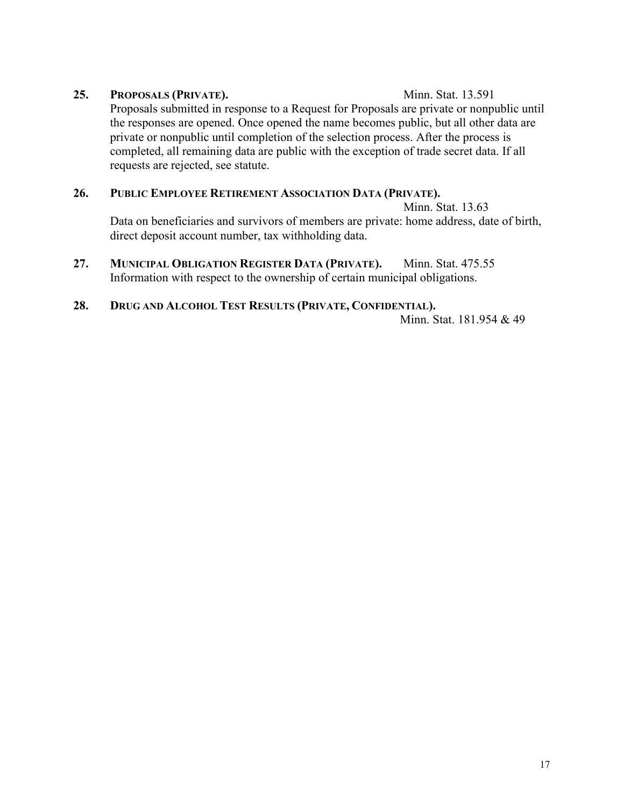## **25. PROPOSALS (PRIVATE).** Minn. Stat. 13.591

Proposals submitted in response to a Request for Proposals are private or nonpublic until the responses are opened. Once opened the name becomes public, but all other data are private or nonpublic until completion of the selection process. After the process is completed, all remaining data are public with the exception of trade secret data. If all requests are rejected, see statute.

## **26. PUBLIC EMPLOYEE RETIREMENT ASSOCIATION DATA (PRIVATE).**

Minn. Stat. 13.63

Data on beneficiaries and survivors of members are private: home address, date of birth, direct deposit account number, tax withholding data.

**27. MUNICIPAL OBLIGATION REGISTER DATA (PRIVATE).** Minn. Stat. 475.55 Information with respect to the ownership of certain municipal obligations.

## **28. DRUG AND ALCOHOL TEST RESULTS (PRIVATE, CONFIDENTIAL).**

Minn. Stat. 181.954 & 49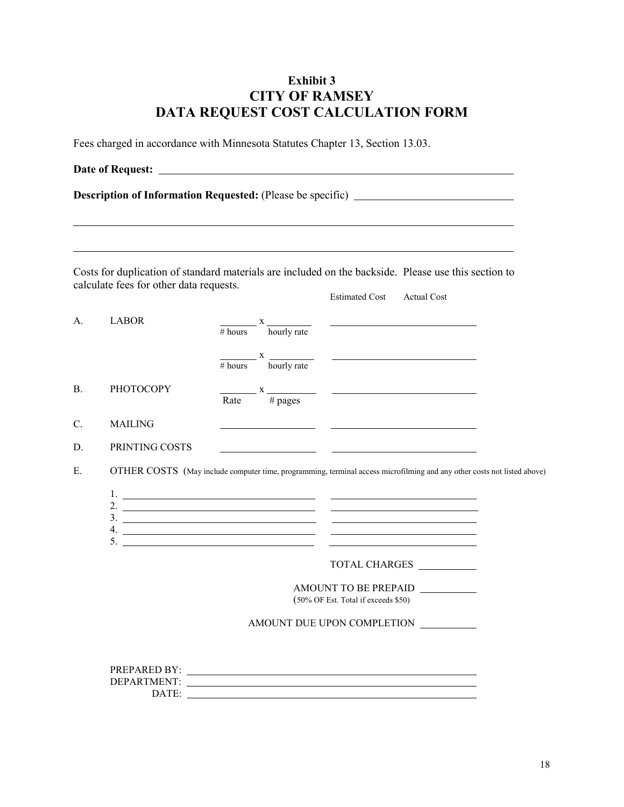## **Exhibit 3 CITY OF RAMSEY DATA REQUEST COST CALCULATION FORM**

Fees charged in accordance with Minnesota Statutes Chapter 13, Section 13.03.

|                |                                         |                                                                                                                                                                                                                                                                                                                                                                                                                                                                          |                       | <b>Description of Information Requested:</b> (Please be specific) _____________________                                 |  |
|----------------|-----------------------------------------|--------------------------------------------------------------------------------------------------------------------------------------------------------------------------------------------------------------------------------------------------------------------------------------------------------------------------------------------------------------------------------------------------------------------------------------------------------------------------|-----------------------|-------------------------------------------------------------------------------------------------------------------------|--|
|                |                                         |                                                                                                                                                                                                                                                                                                                                                                                                                                                                          |                       |                                                                                                                         |  |
|                |                                         |                                                                                                                                                                                                                                                                                                                                                                                                                                                                          |                       |                                                                                                                         |  |
|                | calculate fees for other data requests. |                                                                                                                                                                                                                                                                                                                                                                                                                                                                          |                       | Costs for duplication of standard materials are included on the backside. Please use this section to                    |  |
|                |                                         |                                                                                                                                                                                                                                                                                                                                                                                                                                                                          | <b>Estimated Cost</b> | <b>Actual Cost</b>                                                                                                      |  |
| А.             | <b>LABOR</b>                            | $\frac{x}{\text{hours}}$ $\frac{x}{\text{hourly rate}}$                                                                                                                                                                                                                                                                                                                                                                                                                  |                       | <u> 1989 - Johann Barn, mars ann an t-Amhain an t-Amhain an t-Amhain an t-Amhain an t-Amhain an t-Amhain an t-Amh</u>   |  |
|                |                                         |                                                                                                                                                                                                                                                                                                                                                                                                                                                                          |                       |                                                                                                                         |  |
|                |                                         | $\frac{1}{\# \text{ hours}}$ x $\frac{1}{\text{hourly rate}}$                                                                                                                                                                                                                                                                                                                                                                                                            |                       |                                                                                                                         |  |
| <b>B.</b>      | <b>PHOTOCOPY</b>                        |                                                                                                                                                                                                                                                                                                                                                                                                                                                                          |                       |                                                                                                                         |  |
|                |                                         | $\frac{x}{\text{Rate}}$ $\frac{x}{\text{H pages}}$                                                                                                                                                                                                                                                                                                                                                                                                                       |                       |                                                                                                                         |  |
| $\mathbf{C}$ . | <b>MAILING</b>                          |                                                                                                                                                                                                                                                                                                                                                                                                                                                                          |                       |                                                                                                                         |  |
| D.             | PRINTING COSTS                          | <u> 1980 - Jan Alexandro III, politik po</u>                                                                                                                                                                                                                                                                                                                                                                                                                             |                       |                                                                                                                         |  |
|                |                                         |                                                                                                                                                                                                                                                                                                                                                                                                                                                                          |                       | <u> The Communication of the Communication of the Communication of the Communication of the Communication of</u>        |  |
| Ε.             |                                         |                                                                                                                                                                                                                                                                                                                                                                                                                                                                          |                       | OTHER COSTS (May include computer time, programming, terminal access microfilming and any other costs not listed above) |  |
|                |                                         |                                                                                                                                                                                                                                                                                                                                                                                                                                                                          |                       |                                                                                                                         |  |
|                |                                         | 2. $\overline{\phantom{a}}$ $\overline{\phantom{a}}$ $\overline{\phantom{a}}$ $\overline{\phantom{a}}$ $\overline{\phantom{a}}$ $\overline{\phantom{a}}$ $\overline{\phantom{a}}$ $\overline{\phantom{a}}$ $\overline{\phantom{a}}$ $\overline{\phantom{a}}$ $\overline{\phantom{a}}$ $\overline{\phantom{a}}$ $\overline{\phantom{a}}$ $\overline{\phantom{a}}$ $\overline{\phantom{a}}$ $\overline{\phantom{a}}$ $\overline{\phantom{a}}$ $\overline{\phantom{a}}$ $\$ |                       | <u> 2000 - Jan James Schwaltz, politik eta politik eta politik eta politik eta politik eta politik eta politik e</u>    |  |
|                |                                         | $4.$ $\overline{\phantom{a}}$                                                                                                                                                                                                                                                                                                                                                                                                                                            |                       | <u> Alexander (Alexander Alexander Alexander Alexander Alexander Alexander Alexander Alexander Alexander Alexander</u>  |  |
|                |                                         |                                                                                                                                                                                                                                                                                                                                                                                                                                                                          |                       |                                                                                                                         |  |
|                |                                         |                                                                                                                                                                                                                                                                                                                                                                                                                                                                          |                       | TOTAL CHARGES                                                                                                           |  |
|                |                                         |                                                                                                                                                                                                                                                                                                                                                                                                                                                                          | AMOUNT TO BE PREPAID  |                                                                                                                         |  |
|                | (50% OF Est. Total if exceeds \$50)     |                                                                                                                                                                                                                                                                                                                                                                                                                                                                          |                       |                                                                                                                         |  |
|                | AMOUNT DUE UPON COMPLETION              |                                                                                                                                                                                                                                                                                                                                                                                                                                                                          |                       |                                                                                                                         |  |
|                |                                         |                                                                                                                                                                                                                                                                                                                                                                                                                                                                          |                       |                                                                                                                         |  |
|                |                                         |                                                                                                                                                                                                                                                                                                                                                                                                                                                                          |                       |                                                                                                                         |  |
|                |                                         | PREPARED BY: NAME OF PREPARED BY:                                                                                                                                                                                                                                                                                                                                                                                                                                        |                       |                                                                                                                         |  |
|                |                                         | DATE:                                                                                                                                                                                                                                                                                                                                                                                                                                                                    |                       |                                                                                                                         |  |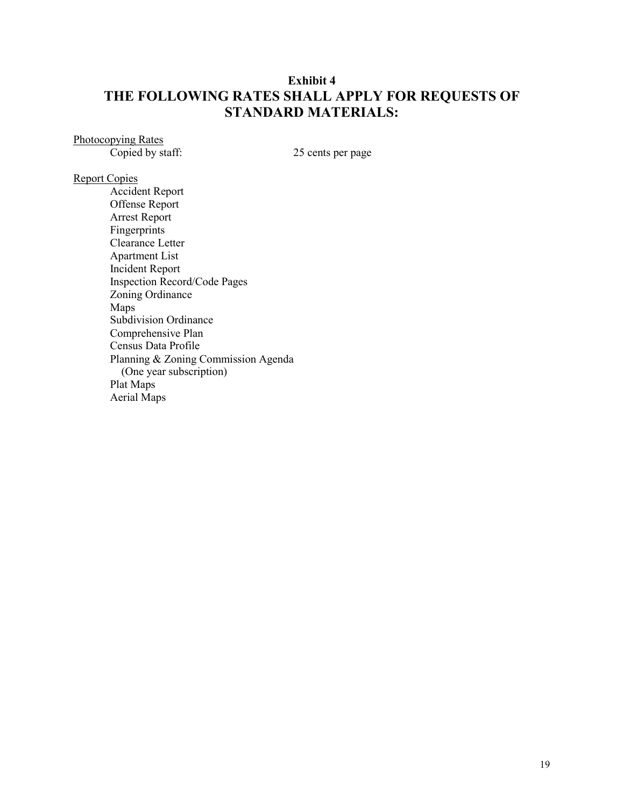## **Exhibit 4 THE FOLLOWING RATES SHALL APPLY FOR REQUESTS OF STANDARD MATERIALS:**

Photocopying Rates<br>Copied by staff:

25 cents per page

#### Report Copies

Accident Report Offense Report Arrest Report Fingerprints Clearance Letter Apartment List Incident Report Inspection Record/Code Pages Zoning Ordinance Maps Subdivision Ordinance Comprehensive Plan Census Data Profile Planning & Zoning Commission Agenda (One year subscription) Plat Maps Aerial Maps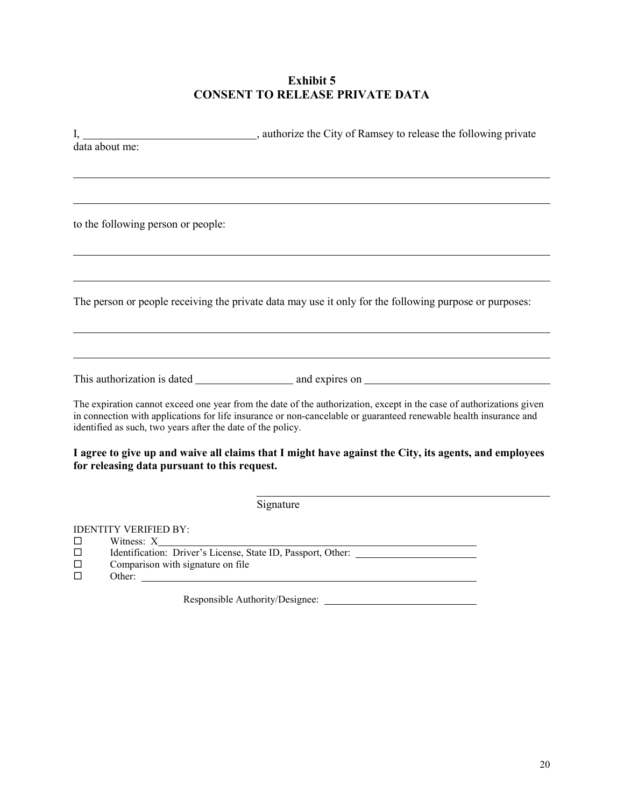## **Exhibit 5 CONSENT TO RELEASE PRIVATE DATA**

|   | authorize the City of Ramsey to release the following private                                                        |
|---|----------------------------------------------------------------------------------------------------------------------|
|   | data about me:                                                                                                       |
|   |                                                                                                                      |
|   |                                                                                                                      |
|   |                                                                                                                      |
|   |                                                                                                                      |
|   | to the following person or people:                                                                                   |
|   |                                                                                                                      |
|   |                                                                                                                      |
|   |                                                                                                                      |
|   | The person or people receiving the private data may use it only for the following purpose or purposes:               |
|   |                                                                                                                      |
|   |                                                                                                                      |
|   |                                                                                                                      |
|   |                                                                                                                      |
|   |                                                                                                                      |
|   | The expiration cannot exceed one year from the date of the authorization, except in the case of authorizations given |
|   | in connection with applications for life insurance or non-cancelable or guaranteed renewable health insurance and    |
|   | identified as such, two years after the date of the policy.                                                          |
|   | I agree to give up and waive all claims that I might have against the City, its agents, and employees                |
|   | for releasing data pursuant to this request.                                                                         |
|   |                                                                                                                      |
|   | Signature                                                                                                            |
|   |                                                                                                                      |
| □ | <b>IDENTITY VERIFIED BY:</b><br>Witness: X                                                                           |
| □ | Identification: Driver's License, State ID, Passport, Other: ____________________                                    |
| П | Comparison with signature on file                                                                                    |
| П |                                                                                                                      |

Responsible Authority/Designee: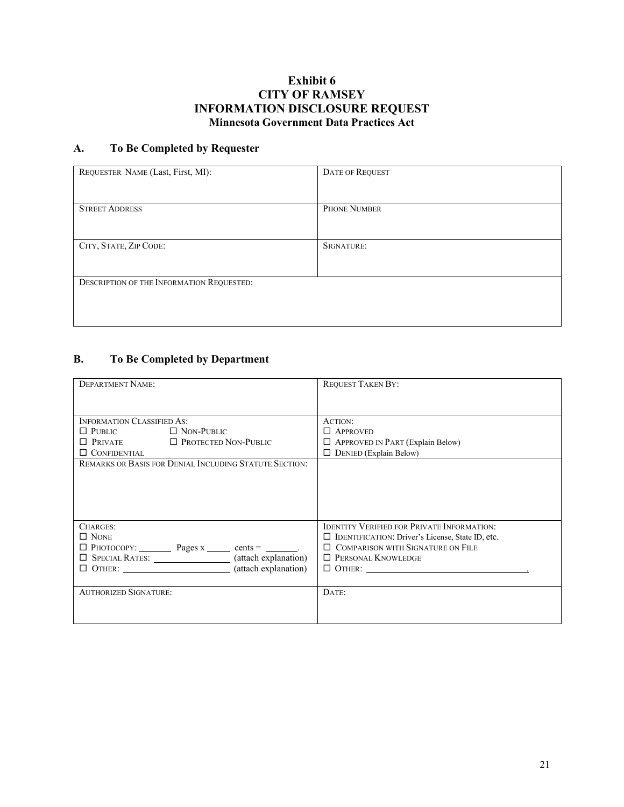## **Exhibit 6 CITY OF RAMSEY INFORMATION DISCLOSURE REQUEST Minnesota Government Data Practices Act**

## **A. To Be Completed by Requester**

| REQUESTER NAME (Last, First, MI):         | <b>DATE OF REQUEST</b> |
|-------------------------------------------|------------------------|
|                                           |                        |
| <b>STREET ADDRESS</b>                     | <b>PHONE NUMBER</b>    |
|                                           |                        |
| CITY, STATE, ZIP CODE:                    | SIGNATURE:             |
|                                           |                        |
| DESCRIPTION OF THE INFORMATION REQUESTED: |                        |
|                                           |                        |
|                                           |                        |

# **B. To Be Completed by Department**

| <b>DEPARTMENT NAME:</b>                                                     | <b>REQUEST TAKEN BY:</b>                                |
|-----------------------------------------------------------------------------|---------------------------------------------------------|
|                                                                             |                                                         |
|                                                                             |                                                         |
| <b>INFORMATION CLASSIFIED AS:</b>                                           | ACTION:                                                 |
| $\Box$ PUBLIC<br>$\Box$ Non-Public                                          | $\Box$ APPROVED                                         |
| $\Box$ Private $\Box$ Protected Non-Public                                  | $\Box$ APPROVED IN PART (Explain Below)                 |
| $\Box$ CONFIDENTIAL                                                         | $\Box$ DENIED (Explain Below)                           |
| <b>REMARKS OR BASIS FOR DENIAL INCLUDING STATUTE SECTION:</b>               |                                                         |
|                                                                             |                                                         |
|                                                                             |                                                         |
|                                                                             |                                                         |
|                                                                             |                                                         |
| CHARGES:                                                                    | <b>IDENTITY VERIFIED FOR PRIVATE INFORMATION:</b>       |
| $\Box$ None                                                                 | $\Box$ IDENTIFICATION: Driver's License, State ID, etc. |
| $\Box$ PHOTOCOPY: $\_\_\_\_\_\$ Pages x $\_\_\_\_\$ cents = $\_\_\_\_\_\$ . | $\Box$ COMPARISON WITH SIGNATURE ON FILE                |
| $\Box$ SPECIAL RATES: $\Box$ (attach explanation)                           | $\Box$ PERSONAL KNOWLEDGE                               |
| $\Box$ OTHER: $\Box$ (attach explanation)                                   | $\Box$ OTHER:                                           |
|                                                                             |                                                         |
| <b>AUTHORIZED SIGNATURE:</b>                                                | DATE:                                                   |
|                                                                             |                                                         |
|                                                                             |                                                         |
|                                                                             |                                                         |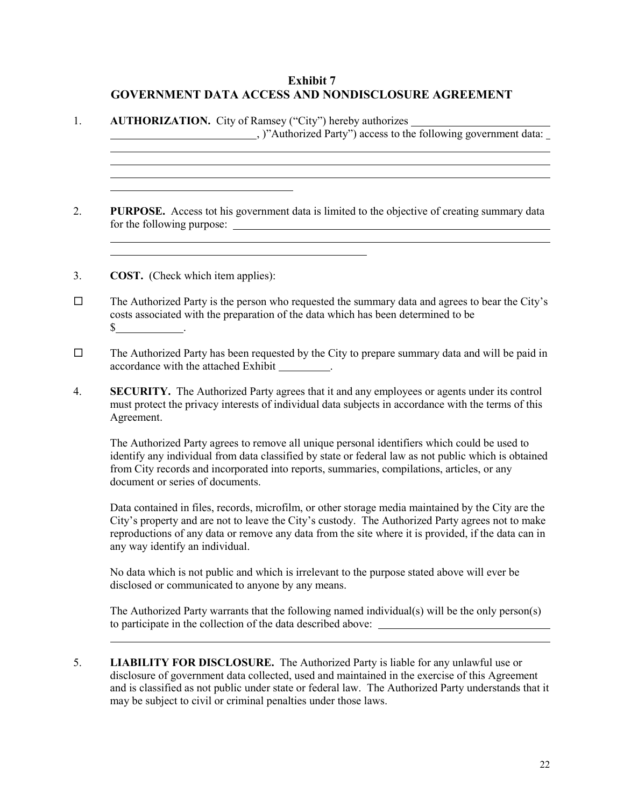## **Exhibit 7 GOVERNMENT DATA ACCESS AND NONDISCLOSURE AGREEMENT**

- 1. **AUTHORIZATION.** City of Ramsey ("City") hereby authorizes , )"Authorized Party") access to the following government data: 2. **PURPOSE.** Access tot his government data is limited to the objective of creating summary data for the following purpose: 3. **COST.** (Check which item applies):  $\Box$  The Authorized Party is the person who requested the summary data and agrees to bear the City's costs associated with the preparation of the data which has been determined to be  $\frac{\text{S}}{\text{S}}$  .  $\Box$  The Authorized Party has been requested by the City to prepare summary data and will be paid in accordance with the attached Exhibit . 4. **SECURITY.** The Authorized Party agrees that it and any employees or agents under its control must protect the privacy interests of individual data subjects in accordance with the terms of this Agreement. The Authorized Party agrees to remove all unique personal identifiers which could be used to identify any individual from data classified by state or federal law as not public which is obtained from City records and incorporated into reports, summaries, compilations, articles, or any document or series of documents. Data contained in files, records, microfilm, or other storage media maintained by the City are the City's property and are not to leave the City's custody. The Authorized Party agrees not to make reproductions of any data or remove any data from the site where it is provided, if the data can in any way identify an individual. No data which is not public and which is irrelevant to the purpose stated above will ever be disclosed or communicated to anyone by any means. The Authorized Party warrants that the following named individual(s) will be the only person(s) to participate in the collection of the data described above:
- 5. **LIABILITY FOR DISCLOSURE.** The Authorized Party is liable for any unlawful use or disclosure of government data collected, used and maintained in the exercise of this Agreement and is classified as not public under state or federal law. The Authorized Party understands that it may be subject to civil or criminal penalties under those laws.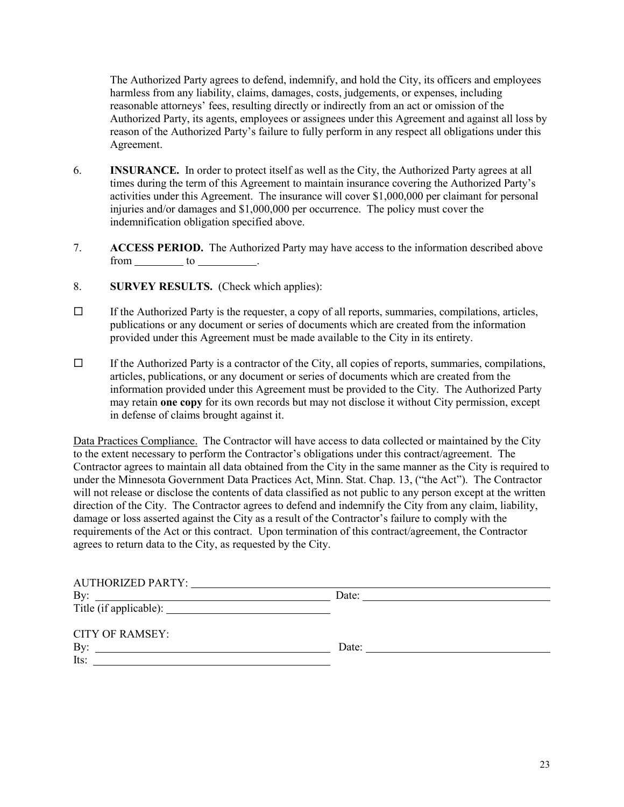The Authorized Party agrees to defend, indemnify, and hold the City, its officers and employees harmless from any liability, claims, damages, costs, judgements, or expenses, including reasonable attorneys' fees, resulting directly or indirectly from an act or omission of the Authorized Party, its agents, employees or assignees under this Agreement and against all loss by reason of the Authorized Party's failure to fully perform in any respect all obligations under this Agreement.

- 6. **INSURANCE.** In order to protect itself as well as the City, the Authorized Party agrees at all times during the term of this Agreement to maintain insurance covering the Authorized Party's activities under this Agreement. The insurance will cover \$1,000,000 per claimant for personal injuries and/or damages and \$1,000,000 per occurrence. The policy must cover the indemnification obligation specified above.
- 7. **ACCESS PERIOD.** The Authorized Party may have access to the information described above  $from$   $\_\_\_\_\_$  to  $\_\_\_\_\_\_\_\$ .
- 8. **SURVEY RESULTS.** (Check which applies):
- $\Box$  If the Authorized Party is the requester, a copy of all reports, summaries, compilations, articles, publications or any document or series of documents which are created from the information provided under this Agreement must be made available to the City in its entirety.
- $\Box$  If the Authorized Party is a contractor of the City, all copies of reports, summaries, compilations, articles, publications, or any document or series of documents which are created from the information provided under this Agreement must be provided to the City. The Authorized Party may retain **one copy** for its own records but may not disclose it without City permission, except in defense of claims brought against it.

Data Practices Compliance. The Contractor will have access to data collected or maintained by the City to the extent necessary to perform the Contractor's obligations under this contract/agreement. The Contractor agrees to maintain all data obtained from the City in the same manner as the City is required to under the Minnesota Government Data Practices Act, Minn. Stat. Chap. 13, ("the Act"). The Contractor will not release or disclose the contents of data classified as not public to any person except at the written direction of the City. The Contractor agrees to defend and indemnify the City from any claim, liability, damage or loss asserted against the City as a result of the Contractor's failure to comply with the requirements of the Act or this contract. Upon termination of this contract/agreement, the Contractor agrees to return data to the City, as requested by the City.

| <b>AUTHORIZED PARTY:</b>                                                               |       |  |
|----------------------------------------------------------------------------------------|-------|--|
| By:<br><u> 1989 - Johann Stein, fransk politiker (d. 1989)</u>                         | Date: |  |
|                                                                                        |       |  |
| <b>CITY OF RAMSEY:</b>                                                                 |       |  |
| By:<br>the contract of the contract of the contract of the contract of the contract of | Date: |  |
| Its:                                                                                   |       |  |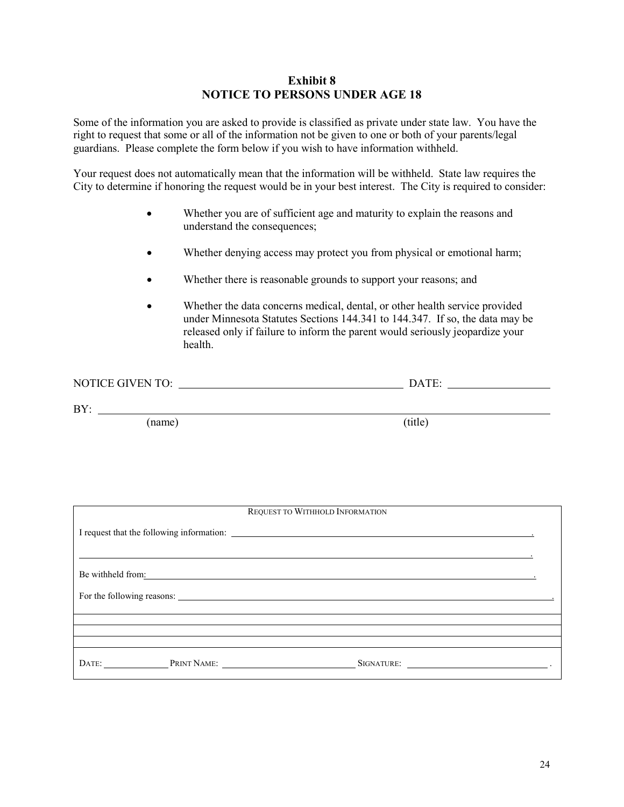#### **Exhibit 8 NOTICE TO PERSONS UNDER AGE 18**

Some of the information you are asked to provide is classified as private under state law. You have the right to request that some or all of the information not be given to one or both of your parents/legal guardians. Please complete the form below if you wish to have information withheld.

Your request does not automatically mean that the information will be withheld. State law requires the City to determine if honoring the request would be in your best interest. The City is required to consider:

- Whether you are of sufficient age and maturity to explain the reasons and understand the consequences;
- Whether denying access may protect you from physical or emotional harm;
- Whether there is reasonable grounds to support your reasons; and
- Whether the data concerns medical, dental, or other health service provided under Minnesota Statutes Sections 144.341 to 144.347. If so, the data may be released only if failure to inform the parent would seriously jeopardize your health.

| GIVEN TO<br>NO <sub>1</sub><br>◥┎<br>TI. | <b>COLUMN</b><br>ıΔ |  |
|------------------------------------------|---------------------|--|
|                                          |                     |  |

BY:

(name) (title)

|                   | REQUEST TO WITHHOLD INFORMATION                                                                                                                                                                                                |  |
|-------------------|--------------------------------------------------------------------------------------------------------------------------------------------------------------------------------------------------------------------------------|--|
|                   |                                                                                                                                                                                                                                |  |
|                   |                                                                                                                                                                                                                                |  |
|                   |                                                                                                                                                                                                                                |  |
|                   | Be withheld from: example of the state of the state of the state of the state of the state of the state of the state of the state of the state of the state of the state of the state of the state of the state of the state o |  |
|                   |                                                                                                                                                                                                                                |  |
|                   |                                                                                                                                                                                                                                |  |
|                   |                                                                                                                                                                                                                                |  |
|                   |                                                                                                                                                                                                                                |  |
| DATE: PRINT NAME: |                                                                                                                                                                                                                                |  |